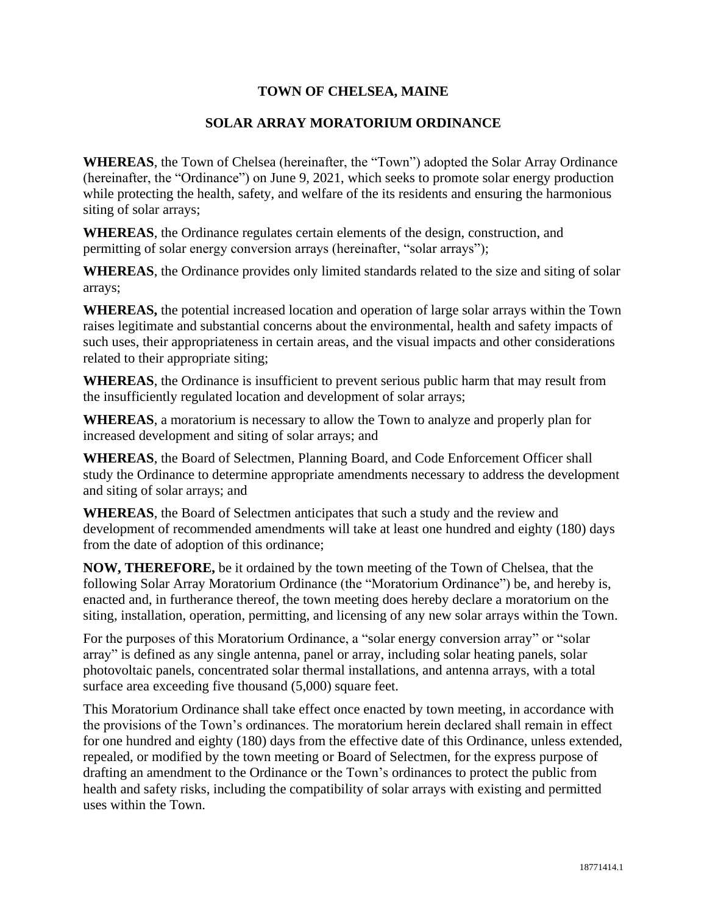## **TOWN OF CHELSEA, MAINE**

## **SOLAR ARRAY MORATORIUM ORDINANCE**

**WHEREAS**, the Town of Chelsea (hereinafter, the "Town") adopted the Solar Array Ordinance (hereinafter, the "Ordinance") on June 9, 2021, which seeks to promote solar energy production while protecting the health, safety, and welfare of the its residents and ensuring the harmonious siting of solar arrays;

**WHEREAS**, the Ordinance regulates certain elements of the design, construction, and permitting of solar energy conversion arrays (hereinafter, "solar arrays");

**WHEREAS**, the Ordinance provides only limited standards related to the size and siting of solar arrays;

**WHEREAS,** the potential increased location and operation of large solar arrays within the Town raises legitimate and substantial concerns about the environmental, health and safety impacts of such uses, their appropriateness in certain areas, and the visual impacts and other considerations related to their appropriate siting;

**WHEREAS**, the Ordinance is insufficient to prevent serious public harm that may result from the insufficiently regulated location and development of solar arrays;

**WHEREAS**, a moratorium is necessary to allow the Town to analyze and properly plan for increased development and siting of solar arrays; and

**WHEREAS**, the Board of Selectmen, Planning Board, and Code Enforcement Officer shall study the Ordinance to determine appropriate amendments necessary to address the development and siting of solar arrays; and

**WHEREAS**, the Board of Selectmen anticipates that such a study and the review and development of recommended amendments will take at least one hundred and eighty (180) days from the date of adoption of this ordinance;

**NOW, THEREFORE,** be it ordained by the town meeting of the Town of Chelsea, that the following Solar Array Moratorium Ordinance (the "Moratorium Ordinance") be, and hereby is, enacted and, in furtherance thereof, the town meeting does hereby declare a moratorium on the siting, installation, operation, permitting, and licensing of any new solar arrays within the Town.

For the purposes of this Moratorium Ordinance, a "solar energy conversion array" or "solar array" is defined as any single antenna, panel or array, including solar heating panels, solar photovoltaic panels, concentrated solar thermal installations, and antenna arrays, with a total surface area exceeding five thousand (5,000) square feet.

This Moratorium Ordinance shall take effect once enacted by town meeting, in accordance with the provisions of the Town's ordinances. The moratorium herein declared shall remain in effect for one hundred and eighty (180) days from the effective date of this Ordinance, unless extended, repealed, or modified by the town meeting or Board of Selectmen, for the express purpose of drafting an amendment to the Ordinance or the Town's ordinances to protect the public from health and safety risks, including the compatibility of solar arrays with existing and permitted uses within the Town.